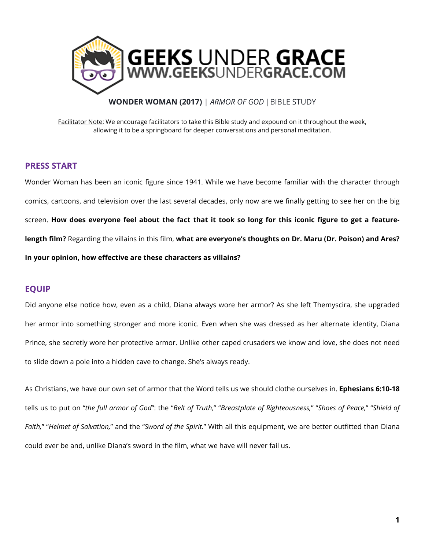

Facilitator Note: We encourage facilitators to take this Bible study and expound on it throughout the week, allowing it to be a springboard for deeper conversations and personal meditation.

## **PRESS START**

Wonder Woman has been an iconic figure since 1941. While we have become familiar with the character through comics, cartoons, and television over the last several decades, only now are we finally getting to see her on the big screen. **How does everyone feel about the fact that it took so long for this iconic figure to get a featurelength film?** Regarding the villains in this film, **what are everyone's thoughts on Dr. Maru (Dr. Poison) and Ares? In your opinion, how effective are these characters as villains?**

# **EQUIP**

Did anyone else notice how, even as a child, Diana always wore her armor? As she left Themyscira, she upgraded her armor into something stronger and more iconic. Even when she was dressed as her alternate identity, Diana Prince, she secretly wore her protective armor. Unlike other caped crusaders we know and love, she does not need to slide down a pole into a hidden cave to change. She's always ready.

As Christians, we have our own set of armor that the Word tells us we should clothe ourselves in. **Ephesians 6:10-18** tells us to put on "*the full armor of God*": the "*Belt of Truth,*" "*Breastplate of Righteousness,*" "*Shoes of Peace,*" "*Shield of Faith,*" "*Helmet of Salvation,*" and the "*Sword of the Spirit.*" With all this equipment, we are better outfitted than Diana could ever be and, unlike Diana's sword in the film, what we have will never fail us.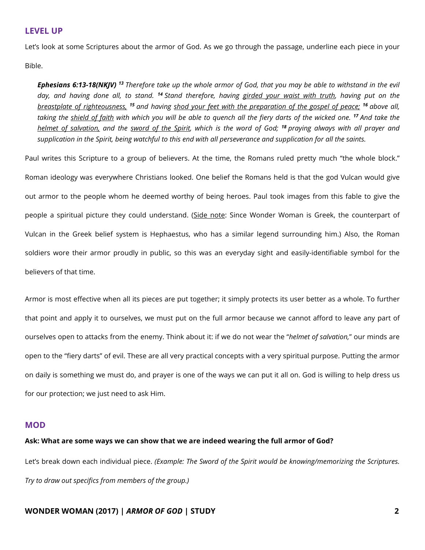### **LEVEL UP**

Let's look at some Scriptures about the armor of God. As we go through the passage, underline each piece in your Bible.

*Ephesians 6:13-18(NKJV) <sup>13</sup> Therefore take up the whole armor of God, that you may be able to withstand in the evil day, and having done all, to stand. <sup>14</sup> Stand therefore, having girded your waist with truth, having put on the breastplate of righteousness, <sup>15</sup> and having shod your feet with the preparation of the gospel of peace; <sup>16</sup> above all, taking the shield of faith with which you will be able to quench all the fiery darts of the wicked one. <sup>17</sup> And take the helmet of salvation, and the sword of the Spirit, which is the word of God; <sup>18</sup> praying always with all prayer and supplication in the Spirit, being watchful to this end with all perseverance and supplication for all the saints.*

Paul writes this Scripture to a group of believers. At the time, the Romans ruled pretty much "the whole block." Roman ideology was everywhere Christians looked. One belief the Romans held is that the god Vulcan would give out armor to the people whom he deemed worthy of being heroes. Paul took images from this fable to give the people a spiritual picture they could understand. (Side note: Since Wonder Woman is Greek, the counterpart of Vulcan in the Greek belief system is Hephaestus, who has a similar legend surrounding him.) Also, the Roman soldiers wore their armor proudly in public, so this was an everyday sight and easily-identifiable symbol for the believers of that time.

Armor is most effective when all its pieces are put together; it simply protects its user better as a whole. To further that point and apply it to ourselves, we must put on the full armor because we cannot afford to leave any part of ourselves open to attacks from the enemy. Think about it: if we do not wear the "*helmet of salvation,*" our minds are open to the "fiery darts" of evil. These are all very practical concepts with a very spiritual purpose. Putting the armor on daily is something we must do, and prayer is one of the ways we can put it all on. God is willing to help dress us for our protection; we just need to ask Him.

### **MOD**

#### **Ask: What are some ways we can show that we are indeed wearing the full armor of God?**

Let's break down each individual piece. *(Example: The Sword of the Spirit would be knowing/memorizing the Scriptures. Try to draw out specifics from members of the group.)*

### **WONDER WOMAN (2017) |** *ARMOR OF GOD* **| STUDY 2**